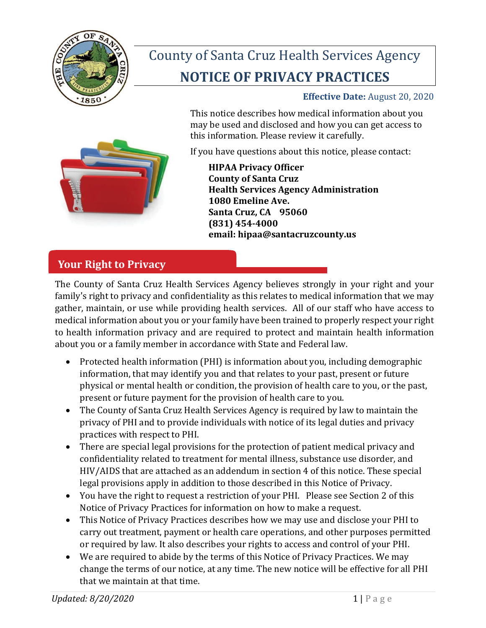

# County of Santa Cruz Health Services Agency **NOTICE OF PRIVACY PRACTICES**

### **Effective Date:** August 20, 2020

This notice describes how medical information about you may be used and disclosed and how you can get access to this information. Please review it carefully.

If you have questions about this notice, please contact:



**HIPAA Privacy Officer County of Santa Cruz Health Services Agency Administration 1080 Emeline Ave. Santa Cruz, CA 95060 (831) 454-4000 email: hipaa@santacruzcounty.us**

# **Your Right to Privacy**

The County of Santa Cruz Health Services Agency believes strongly in your right and your family's right to privacy and confidentiality as this relates to medical information that we may gather, maintain, or use while providing health services. All of our staff who have access to medical information about you or your family have been trained to properly respect your right to health information privacy and are required to protect and maintain health information about you or a family member in accordance with State and Federal law.

- Protected health information (PHI) is information about you, including demographic information, that may identify you and that relates to your past, present or future physical or mental health or condition, the provision of health care to you, or the past, present or future payment for the provision of health care to you.
- The County of Santa Cruz Health Services Agency is required by law to maintain the privacy of PHI and to provide individuals with notice of its legal duties and privacy practices with respect to PHI.
- There are special legal provisions for the protection of patient medical privacy and confidentiality related to treatment for mental illness, substance use disorder, and HIV/AIDS that are attached as an addendum in section 4 of this notice. These special legal provisions apply in addition to those described in this Notice of Privacy.
- You have the right to request a restriction of your PHI. Please see Section 2 of this Notice of Privacy Practices for information on how to make a request.
- This Notice of Privacy Practices describes how we may use and disclose your PHI to carry out treatment, payment or health care operations, and other purposes permitted or required by law. It also describes your rights to access and control of your PHI.
- We are required to abide by the terms of this Notice of Privacy Practices. We may change the terms of our notice, at any time. The new notice will be effective for all PHI that we maintain at that time.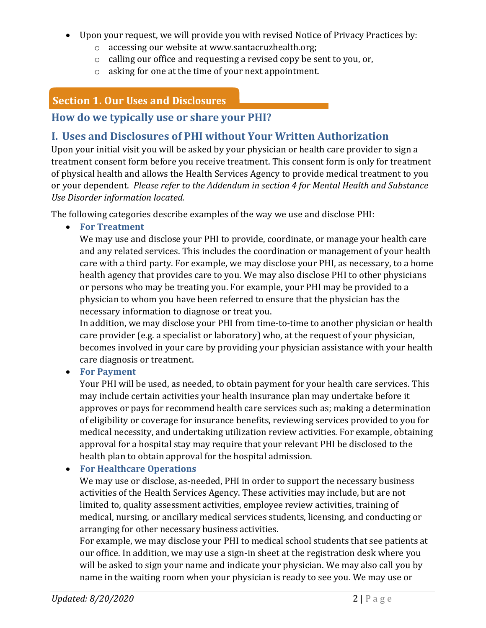- Upon your request, we will provide you with revised Notice of Privacy Practices by:
	- o accessing our website at [www.santacruzhealth.org;](http://www.santacruzhealth.org;/)
	- o calling our office and requesting a revised copy be sent to you, or,
	- o asking for one at the time of your next appointment.

# **Section 1. Our Uses and Disclosures**

### **How do we typically use or share your PHI?**

# **I. Uses and Disclosures of PHI without Your Written Authorization**

Upon your initial visit you will be asked by your physician or health care provider to sign a treatment consent form before you receive treatment. This consent form is only for treatment of physical health and allows the Health Services Agency to provide medical treatment to you or your dependent. *Please refer to the Addendum in section 4 for Mental Health and Substance Use Disorder information located.*

The following categories describe examples of the way we use and disclose PHI:

• **For Treatment**

We may use and disclose your PHI to provide, coordinate, or manage your health care and any related services. This includes the coordination or management of your health care with a third party. For example, we may disclose your PHI, as necessary, to a home health agency that provides care to you. We may also disclose PHI to other physicians or persons who may be treating you. For example, your PHI may be provided to a physician to whom you have been referred to ensure that the physician has the necessary information to diagnose or treat you.

In addition, we may disclose your PHI from time-to-time to another physician or health care provider (e.g. a specialist or laboratory) who, at the request of your physician, becomes involved in your care by providing your physician assistance with your health care diagnosis or treatment.

• **For Payment**

Your PHI will be used, as needed, to obtain payment for your health care services. This may include certain activities your health insurance plan may undertake before it approves or pays for recommend health care services such as; making a determination of eligibility or coverage for insurance benefits, reviewing services provided to you for medical necessity, and undertaking utilization review activities. For example, obtaining approval for a hospital stay may require that your relevant PHI be disclosed to the health plan to obtain approval for the hospital admission.

• **For Healthcare Operations**

We may use or disclose, as-needed, PHI in order to support the necessary business activities of the Health Services Agency. These activities may include, but are not limited to, quality assessment activities, employee review activities, training of medical, nursing, or ancillary medical services students, licensing, and conducting or arranging for other necessary business activities.

For example, we may disclose your PHI to medical school students that see patients at our office. In addition, we may use a sign-in sheet at the registration desk where you will be asked to sign your name and indicate your physician. We may also call you by name in the waiting room when your physician is ready to see you. We may use or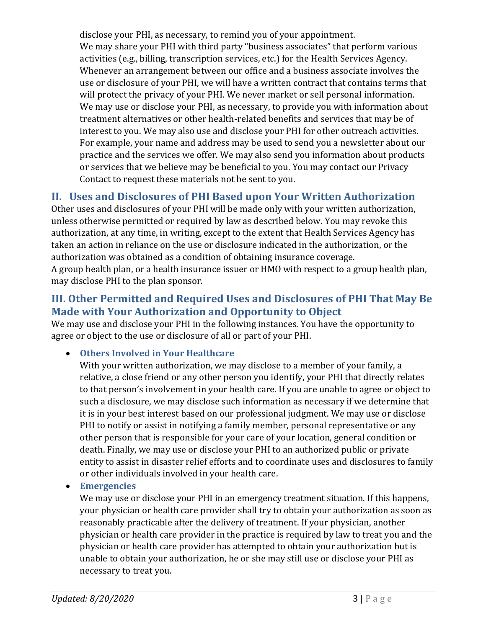disclose your PHI, as necessary, to remind you of your appointment. We may share your PHI with third party "business associates" that perform various activities (e.g., billing, transcription services, etc.) for the Health Services Agency. Whenever an arrangement between our office and a business associate involves the use or disclosure of your PHI, we will have a written contract that contains terms that will protect the privacy of your PHI. We never market or sell personal information. We may use or disclose your PHI, as necessary, to provide you with information about treatment alternatives or other health-related benefits and services that may be of interest to you. We may also use and disclose your PHI for other outreach activities. For example, your name and address may be used to send you a newsletter about our practice and the services we offer. We may also send you information about products or services that we believe may be beneficial to you. You may contact our Privacy Contact to request these materials not be sent to you.

# **II. Uses and Disclosures of PHI Based upon Your Written Authorization**

Other uses and disclosures of your PHI will be made only with your written authorization, unless otherwise permitted or required by law as described below. You may revoke this authorization, at any time, in writing, except to the extent that Health Services Agency has taken an action in reliance on the use or disclosure indicated in the authorization, or the authorization was obtained as a condition of obtaining insurance coverage. A group health plan, or a health insurance issuer or HMO with respect to a group health plan,

may disclose PHI to the plan sponsor.

### **III. Other Permitted and Required Uses and Disclosures of PHI That May Be Made with Your Authorization and Opportunity to Object**

We may use and disclose your PHI in the following instances. You have the opportunity to agree or object to the use or disclosure of all or part of your PHI.

• **Others Involved in Your Healthcare**

With your written authorization, we may disclose to a member of your family, a relative, a close friend or any other person you identify, your PHI that directly relates to that person's involvement in your health care. If you are unable to agree or object to such a disclosure, we may disclose such information as necessary if we determine that it is in your best interest based on our professional judgment. We may use or disclose PHI to notify or assist in notifying a family member, personal representative or any other person that is responsible for your care of your location, general condition or death. Finally, we may use or disclose your PHI to an authorized public or private entity to assist in disaster relief efforts and to coordinate uses and disclosures to family or other individuals involved in your health care.

### • **Emergencies**

We may use or disclose your PHI in an emergency treatment situation. If this happens, your physician or health care provider shall try to obtain your authorization as soon as reasonably practicable after the delivery of treatment. If your physician, another physician or health care provider in the practice is required by law to treat you and the physician or health care provider has attempted to obtain your authorization but is unable to obtain your authorization, he or she may still use or disclose your PHI as necessary to treat you.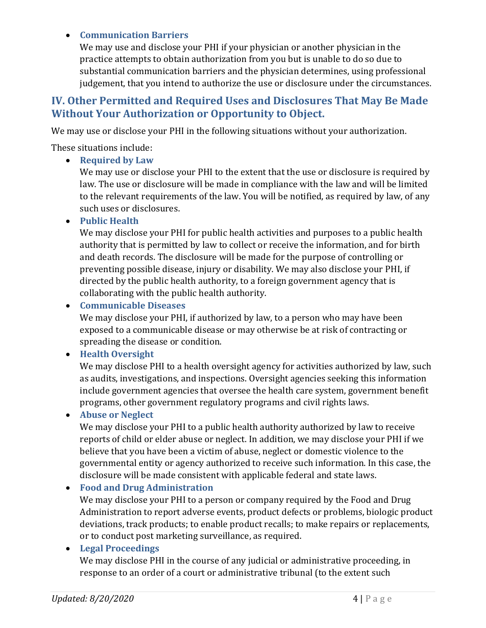### • **Communication Barriers**

We may use and disclose your PHI if your physician or another physician in the practice attempts to obtain authorization from you but is unable to do so due to substantial communication barriers and the physician determines, using professional judgement, that you intend to authorize the use or disclosure under the circumstances.

### **IV. Other Permitted and Required Uses and Disclosures That May Be Made Without Your Authorization or Opportunity to Object.**

We may use or disclose your PHI in the following situations without your authorization.

These situations include:

#### • **Required by Law**

We may use or disclose your PHI to the extent that the use or disclosure is required by law. The use or disclosure will be made in compliance with the law and will be limited to the relevant requirements of the law. You will be notified, as required by law, of any such uses or disclosures.

#### • **Public Health**

We may disclose your PHI for public health activities and purposes to a public health authority that is permitted by law to collect or receive the information, and for birth and death records. The disclosure will be made for the purpose of controlling or preventing possible disease, injury or disability. We may also disclose your PHI, if directed by the public health authority, to a foreign government agency that is collaborating with the public health authority.

#### • **Communicable Diseases**

We may disclose your PHI, if authorized by law, to a person who may have been exposed to a communicable disease or may otherwise be at risk of contracting or spreading the disease or condition.

#### • **Health Oversight**

We may disclose PHI to a health oversight agency for activities authorized by law, such as audits, investigations, and inspections. Oversight agencies seeking this information include government agencies that oversee the health care system, government benefit programs, other government regulatory programs and civil rights laws.

#### • **Abuse or Neglect**

We may disclose your PHI to a public health authority authorized by law to receive reports of child or elder abuse or neglect. In addition, we may disclose your PHI if we believe that you have been a victim of abuse, neglect or domestic violence to the governmental entity or agency authorized to receive such information. In this case, the disclosure will be made consistent with applicable federal and state laws.

#### • **Food and Drug Administration**

We may disclose your PHI to a person or company required by the Food and Drug Administration to report adverse events, product defects or problems, biologic product deviations, track products; to enable product recalls; to make repairs or replacements, or to conduct post marketing surveillance, as required.

#### • **Legal Proceedings**

We may disclose PHI in the course of any judicial or administrative proceeding, in response to an order of a court or administrative tribunal (to the extent such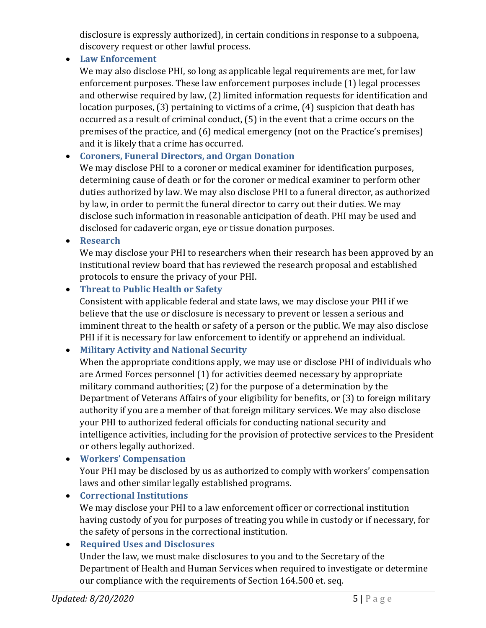disclosure is expressly authorized), in certain conditions in response to a subpoena, discovery request or other lawful process.

• **Law Enforcement**

We may also disclose PHI, so long as applicable legal requirements are met, for law enforcement purposes. These law enforcement purposes include (1) legal processes and otherwise required by law, (2) limited information requests for identification and location purposes, (3) pertaining to victims of a crime, (4) suspicion that death has occurred as a result of criminal conduct, (5) in the event that a crime occurs on the premises of the practice, and (6) medical emergency (not on the Practice's premises) and it is likely that a crime has occurred.

# • **Coroners, Funeral Directors, and Organ Donation**

We may disclose PHI to a coroner or medical examiner for identification purposes, determining cause of death or for the coroner or medical examiner to perform other duties authorized by law. We may also disclose PHI to a funeral director, as authorized by law, in order to permit the funeral director to carry out their duties. We may disclose such information in reasonable anticipation of death. PHI may be used and disclosed for cadaveric organ, eye or tissue donation purposes.

• **Research**

We may disclose your PHI to researchers when their research has been approved by an institutional review board that has reviewed the research proposal and established protocols to ensure the privacy of your PHI.

### • **Threat to Public Health or Safety**

Consistent with applicable federal and state laws, we may disclose your PHI if we believe that the use or disclosure is necessary to prevent or lessen a serious and imminent threat to the health or safety of a person or the public. We may also disclose PHI if it is necessary for law enforcement to identify or apprehend an individual.

# • **Military Activity and National Security**

When the appropriate conditions apply, we may use or disclose PHI of individuals who are Armed Forces personnel (1) for activities deemed necessary by appropriate military command authorities; (2) for the purpose of a determination by the Department of Veterans Affairs of your eligibility for benefits, or (3) to foreign military authority if you are a member of that foreign military services. We may also disclose your PHI to authorized federal officials for conducting national security and intelligence activities, including for the provision of protective services to the President or others legally authorized.

• **Workers' Compensation**

Your PHI may be disclosed by us as authorized to comply with workers' compensation laws and other similar legally established programs.

• **Correctional Institutions** We may disclose your PHI to a law enforcement officer or correctional institution having custody of you for purposes of treating you while in custody or if necessary, for the safety of persons in the correctional institution.

# • **Required Uses and Disclosures**

Under the law, we must make disclosures to you and to the Secretary of the Department of Health and Human Services when required to investigate or determine our compliance with the requirements of Section 164.500 et. seq.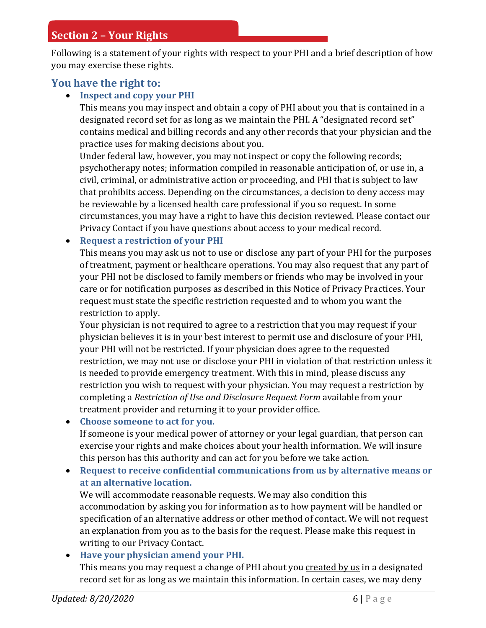### **Section 2 – Your Rights**

Following is a statement of your rights with respect to your PHI and a brief description of how you may exercise these rights.

### **You have the right to:**

### • **Inspect and copy your PHI**

This means you may inspect and obtain a copy of PHI about you that is contained in a designated record set for as long as we maintain the PHI. A "designated record set" contains medical and billing records and any other records that your physician and the practice uses for making decisions about you.

Under federal law, however, you may not inspect or copy the following records; psychotherapy notes; information compiled in reasonable anticipation of, or use in, a civil, criminal, or administrative action or proceeding, and PHI that is subject to law that prohibits access. Depending on the circumstances, a decision to deny access may be reviewable by a licensed health care professional if you so request. In some circumstances, you may have a right to have this decision reviewed. Please contact our Privacy Contact if you have questions about access to your medical record.

#### • **Request a restriction of your PHI**

This means you may ask us not to use or disclose any part of your PHI for the purposes of treatment, payment or healthcare operations. You may also request that any part of your PHI not be disclosed to family members or friends who may be involved in your care or for notification purposes as described in this Notice of Privacy Practices. Your request must state the specific restriction requested and to whom you want the restriction to apply.

Your physician is not required to agree to a restriction that you may request if your physician believes it is in your best interest to permit use and disclosure of your PHI, your PHI will not be restricted. If your physician does agree to the requested restriction, we may not use or disclose your PHI in violation of that restriction unless it is needed to provide emergency treatment. With this in mind, please discuss any restriction you wish to request with your physician. You may request a restriction by completing a *Restriction of Use and Disclosure Request Form* available from your treatment provider and returning it to your provider office.

• **Choose someone to act for you.**

If someone is your medical power of attorney or your legal guardian, that person can exercise your rights and make choices about your health information. We will insure this person has this authority and can act for you before we take action.

• **Request to receive confidential communications from us by alternative means or at an alternative location.**

We will accommodate reasonable requests. We may also condition this accommodation by asking you for information as to how payment will be handled or specification of an alternative address or other method of contact. We will not request an explanation from you as to the basis for the request. Please make this request in writing to our Privacy Contact.

#### • **Have your physician amend your PHI.**

This means you may request a change of PHI about you created by us in a designated record set for as long as we maintain this information. In certain cases, we may deny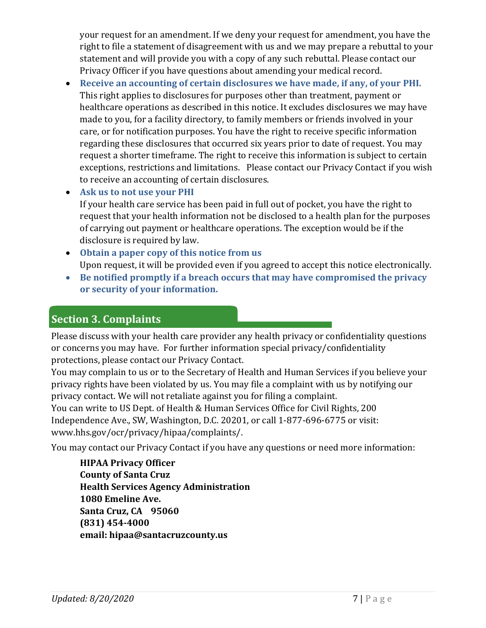your request for an amendment. If we deny your request for amendment, you have the right to file a statement of disagreement with us and we may prepare a rebuttal to your statement and will provide you with a copy of any such rebuttal. Please contact our Privacy Officer if you have questions about amending your medical record.

• **Receive an accounting of certain disclosures we have made, if any, of your PHI.** This right applies to disclosures for purposes other than treatment, payment or healthcare operations as described in this notice. It excludes disclosures we may have made to you, for a facility directory, to family members or friends involved in your care, or for notification purposes. You have the right to receive specific information regarding these disclosures that occurred six years prior to date of request. You may request a shorter timeframe. The right to receive this information is subject to certain exceptions, restrictions and limitations. Please contact our Privacy Contact if you wish to receive an accounting of certain disclosures.

• **Ask us to not use your PHI** If your health care service has been paid in full out of pocket, you have the right to request that your health information not be disclosed to a health plan for the purposes of carrying out payment or healthcare operations. The exception would be if the disclosure is required by law.

- **Obtain a paper copy of this notice from us** Upon request, it will be provided even if you agreed to accept this notice electronically.
- **Be notified promptly if a breach occurs that may have compromised the privacy or security of your information.**

# **Section 3. Complaints**

Please discuss with your health care provider any health privacy or confidentiality questions or concerns you may have. For further information special privacy/confidentiality protections, please contact our Privacy Contact.

You may complain to us or to the Secretary of Health and Human Services if you believe your privacy rights have been violated by us. You may file a complaint with us by notifying our privacy contact. We will not retaliate against you for filing a complaint.

You can write to US Dept. of Health & Human Services Office for Civil Rights, 200 Independence Ave., SW, Washington, D.C. 20201, or call 1-877-696-6775 or visit: www.hhs.gov/ocr/privacy/hipaa/complaints/.

You may contact our Privacy Contact if you have any questions or need more information:

**HIPAA Privacy Officer County of Santa Cruz Health Services Agency Administration 1080 Emeline Ave. Santa Cruz, CA 95060 (831) 454-4000 email: hipaa@santacruzcounty.us**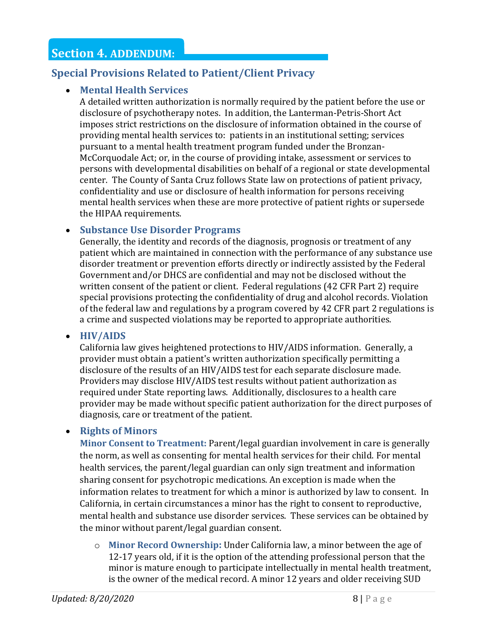# **Section 4. ADDENDUM:**

### **Special Provisions Related to Patient/Client Privacy**

### • **Mental Health Services**

A detailed written authorization is normally required by the patient before the use or disclosure of psychotherapy notes. In addition, the Lanterman-Petris-Short Act imposes strict restrictions on the disclosure of information obtained in the course of providing mental health services to: patients in an institutional setting; services pursuant to a mental health treatment program funded under the Bronzan-McCorquodale Act; or, in the course of providing intake, assessment or services to persons with developmental disabilities on behalf of a regional or state developmental center. The County of Santa Cruz follows State law on protections of patient privacy, confidentiality and use or disclosure of health information for persons receiving mental health services when these are more protective of patient rights or supersede the HIPAA requirements.

### • **Substance Use Disorder Programs**

Generally, the identity and records of the diagnosis, prognosis or treatment of any patient which are maintained in connection with the performance of any substance use disorder treatment or prevention efforts directly or indirectly assisted by the Federal Government and/or DHCS are confidential and may not be disclosed without the written consent of the patient or client. Federal regulations (42 CFR Part 2) require special provisions protecting the confidentiality of drug and alcohol records. Violation of the federal law and regulations by a program covered by 42 CFR part 2 regulations is a crime and suspected violations may be reported to appropriate authorities.

• **HIV/AIDS**

California law gives heightened protections to HIV/AIDS information. Generally, a provider must obtain a patient's written authorization specifically permitting a disclosure of the results of an HIV/AIDS test for each separate disclosure made. Providers may disclose HIV/AIDS test results without patient authorization as required under State reporting laws. Additionally, disclosures to a health care provider may be made without specific patient authorization for the direct purposes of diagnosis, care or treatment of the patient.

### • **Rights of Minors**

**Minor Consent to Treatment:** Parent/legal guardian involvement in care is generally the norm, as well as consenting for mental health services for their child. For mental health services, the parent/legal guardian can only sign treatment and information sharing consent for psychotropic medications. An exception is made when the information relates to treatment for which a minor is authorized by law to consent. In California, in certain circumstances a minor has the right to consent to reproductive, mental health and substance use disorder services. These services can be obtained by the minor without parent/legal guardian consent.

o **Minor Record Ownership:** Under California law, a minor between the age of 12-17 years old, if it is the option of the attending professional person that the minor is mature enough to participate intellectually in mental health treatment, is the owner of the medical record. A minor 12 years and older receiving SUD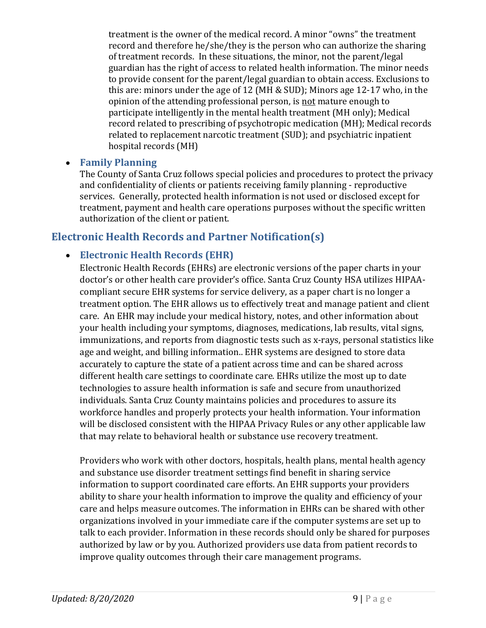treatment is the owner of the medical record. A minor "owns" the treatment record and therefore he/she/they is the person who can authorize the sharing of treatment records. In these situations, the minor, not the parent/legal guardian has the right of access to related health information. The minor needs to provide consent for the parent/legal guardian to obtain access. Exclusions to this are: minors under the age of 12 (MH & SUD); Minors age 12-17 who, in the opinion of the attending professional person, is not mature enough to participate intelligently in the mental health treatment (MH only); Medical record related to prescribing of psychotropic medication (MH); Medical records related to replacement narcotic treatment (SUD); and psychiatric inpatient hospital records (MH)

### • **Family Planning**

The County of Santa Cruz follows special policies and procedures to protect the privacy and confidentiality of clients or patients receiving family planning - reproductive services. Generally, protected health information is not used or disclosed except for treatment, payment and health care operations purposes without the specific written authorization of the client or patient.

### **Electronic Health Records and Partner Notification(s)**

### • **Electronic Health Records (EHR)**

Electronic Health Records (EHRs) are electronic versions of the paper charts in your doctor's or other health care provider's office. Santa Cruz County HSA utilizes HIPAAcompliant secure EHR systems for service delivery, as a paper chart is no longer a treatment option. The EHR allows us to effectively treat and manage patient and client care. An EHR may include your medical history, notes, and other information about your health including your symptoms, diagnoses, medications, lab results, vital signs, immunizations, and reports from diagnostic tests such as x-rays, personal statistics like age and weight, and billing information.. EHR systems are designed to store data accurately to capture the state of a patient across time and can be shared across different health care settings to coordinate care. EHRs utilize the most up to date technologies to assure health information is safe and secure from unauthorized individuals. Santa Cruz County maintains policies and procedures to assure its workforce handles and properly protects your health information. Your information will be disclosed consistent with the HIPAA Privacy Rules or any other applicable law that may relate to behavioral health or substance use recovery treatment.

Providers who work with other doctors, hospitals, health plans, mental health agency and substance use disorder treatment settings find benefit in sharing service information to support coordinated care efforts. An EHR supports your providers ability to share your health information to improve the quality and efficiency of your care and helps measure outcomes. The information in EHRs can be shared with other organizations involved in your immediate care if the computer systems are set up to talk to each provider. Information in these records should only be shared for purposes authorized by law or by you. Authorized providers use data from patient records to improve quality outcomes through their care management programs.